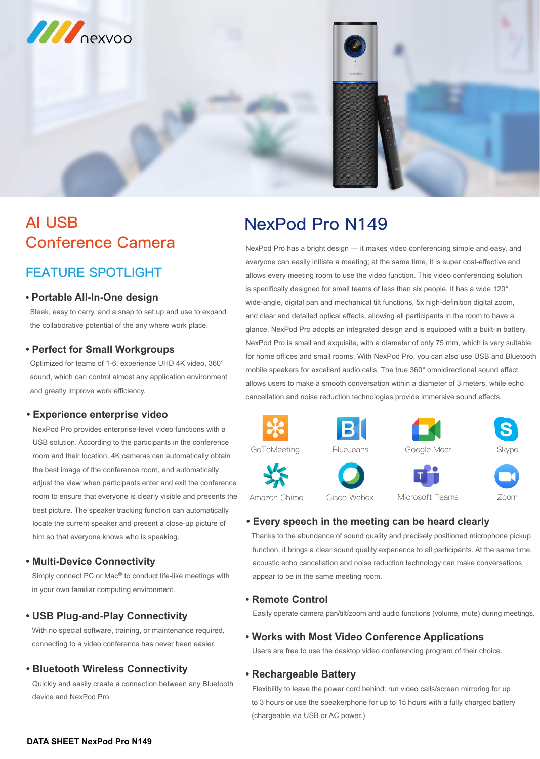

# **AI USB Conference Camera**

# **FEATURE SPOTLIGHT**

# **NexPod Pro N149**

#### **• Portable All-In-One design**

 Sleek, easy to carry, and a snap to set up and use to expand the collaborative potential of the any where work place.

#### **• Perfect for Small Workgroups**

Simply connect PC or Mac<sup>®</sup> to conduct life-like meetings with in your own familiar computing environment.

Optimized for teams of 1-6, experience UHD 4K video, 360° sound, which can control almost any application environment and greatly improve work efficiency.

#### **• Multi-Device Connectivity**

### **• USB Plug-and-Play Connectivity**

 With no special software, training, or maintenance required, connecting to a video conference has never been easier.

### **• Remote Control**

Easily operate camera pan/tilt/zoom and audio functions (volume, mute) during meetings.

### **• Works with Most Video Conference Applications**

Users are free to use the desktop video conferencing program of their choice.

#### **• Rechargeable Battery**

 Flexibility to leave the power cord behind: run video calls/screen mirroring for up to 3 hours or use the speakerphone for up to 15 hours with a fully charged battery (chargeable via USB or AC power.)

#### **• Bluetooth Wireless Connectivity**

 Quickly and easily create a connection between any Bluetooth device and NexPod Pro.

### **• Every speech in the meeting can be heard clearly**

 Thanks to the abundance of sound quality and precisely positioned microphone pickup function, it brings a clear sound quality experience to all participants. At the same time, acoustic echo cancellation and noise reduction technology can make conversations appear to be in the same meeting room.

#### **• Experience enterprise video**

 NexPod Pro provides enterprise-level video functions with a USB solution. According to the participants in the conference room and their location, 4K cameras can automatically obtain the best image of the conference room, and automatically adjust the view when participants enter and exit the conference room to ensure that everyone is clearly visible and presents the

 best picture. The speaker tracking function can automatically locate the current speaker and present a close-up picture of him so that everyone knows who is speaking.

NexPod Pro has a bright design — it makes video conferencing simple and easy, and

everyone can easily initiate a meeting; at the same time, it is super cost-effective and allows every meeting room to use the video function. This video conferencing solution is specifically designed for small teams of less than six people. It has a wide 120° wide-angle, digital pan and mechanical tilt functions, 5x high-definition digital zoom, and clear and detailed optical effects, allowing all participants in the room to have a glance. NexPod Pro adopts an integrated design and is equipped with a built-in battery. NexPod Pro is small and exquisite, with a diameter of only 75 mm, which is very suitable for home offices and small rooms. With NexPod Pro, you can also use USB and Bluetooth mobile speakers for excellent audio calls. The true 360° omnidirectional sound effect allows users to make a smooth conversation within a diameter of 3 meters, while echo cancellation and noise reduction technologies provide immersive sound effects.